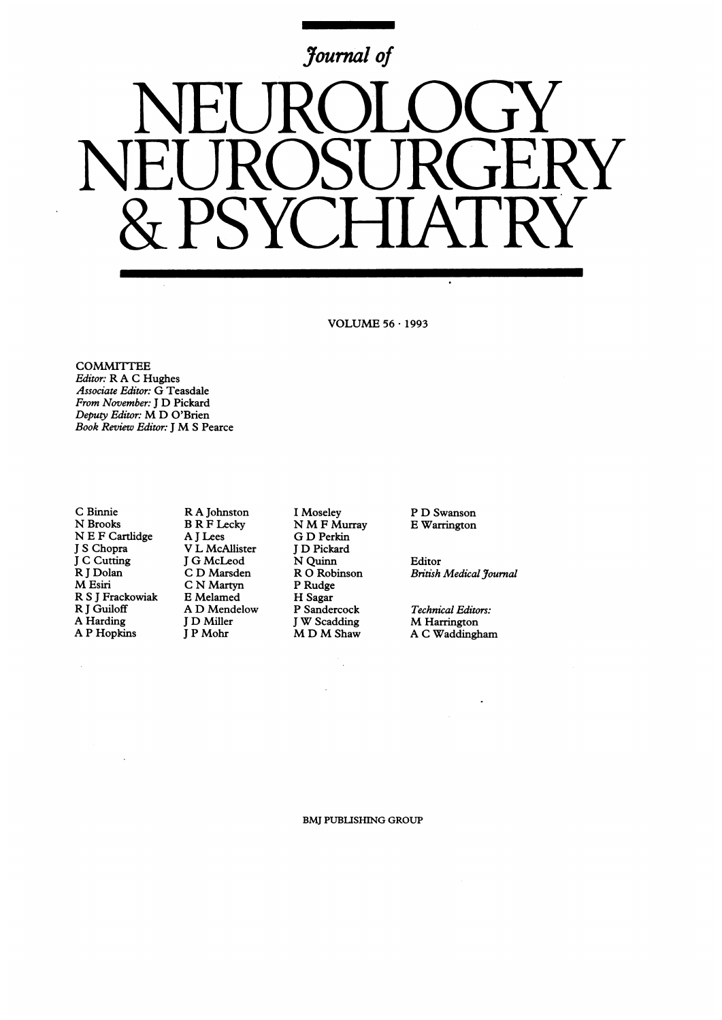

VOLUME <sup>56</sup> - <sup>1993</sup>

**COMMITTEE** Editor: R A C Hughes Associate Editor: G Teasdale From November: <sup>J</sup> D Pickard Deputy Editor: M D O'Brien Book Review Editor: <sup>J</sup> M <sup>S</sup> Pearce

C Binnie N Brooks N E F Cartlidge J S Chopra <sup>J</sup> C Cutting R <sup>J</sup> Dolan M Esiri R S <sup>J</sup> Frackowiak R <sup>J</sup> Guiloff A Harding A P Hopkins

 $\bar{\beta}$ 

R A Johnston B R F Lecky A <sup>J</sup> Lees V L McAllister <sup>J</sup> G McLeod C D Marsden C N Martyn E Melamed A D Mendelow <sup>J</sup> D Miller <sup>J</sup> P Mohr

<sup>I</sup> Moseley N M <sup>F</sup> Murray G D Perkin <sup>J</sup> D Pickard N Quinn R 0 Robinson P Rudge H Sagar P Sandercock <sup>J</sup> W Scadding M D M Shaw

 $\bar{z}$ 

P D Swanson E Warrington

Editor British Medical Journal

Technical Editors: M Harrington A C Waddingham

## BMJ PUBLISHING GROUP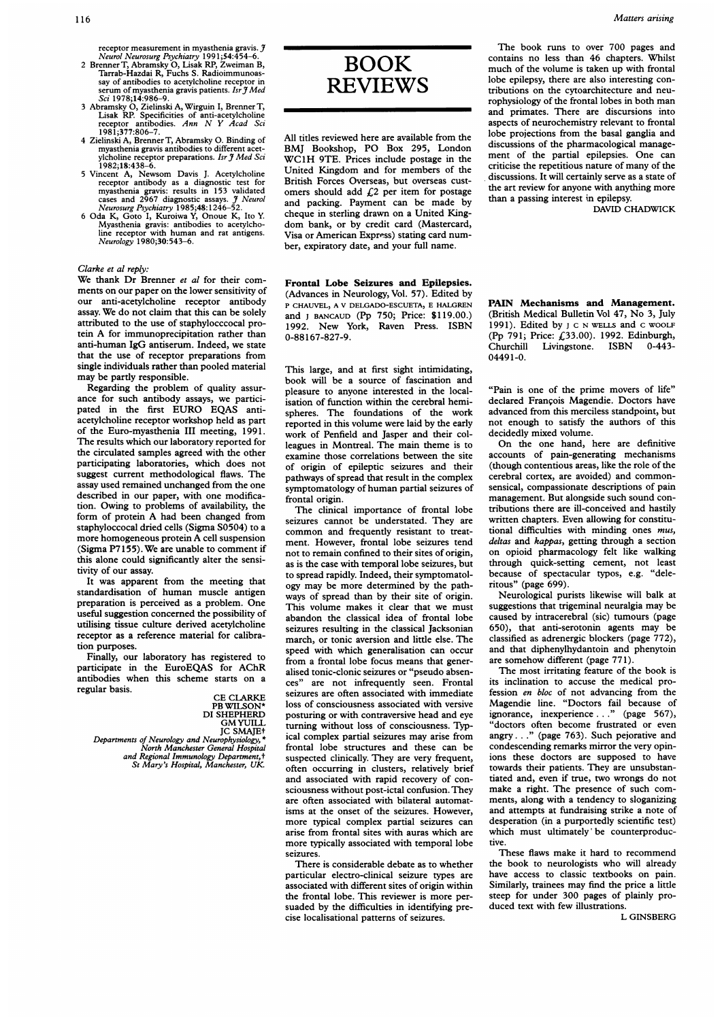receptor measurement in myasthenia gravis.  $\hat{\boldsymbol{\mathcal{J}}}$ 

- Neurol Neurosurg Psychiatry 1991 ;54:454-6. 2 Brenner T, Abramsky 0, Lisak RP, Zweiman B, Tarrab-Hazdai R, Fuchs S. Radioimmunoas-say of antibodies to acetylcholine receptor in serum of myasthenia gravis patients. Isr  $\widetilde{\jmath}$  Med
- Sci 1978;14:986-9.<br>
3 Abramsky O, Zielinski A, Wirguin I, Brenner T,<br>
Lisak RP. Specificities of anti-acetylcholine<br>
receptor antibodies. Ann N Y Acad Sci<br>
1981;377:806-7.
- 4 Zielinski A, BrennerT, Abramsky 0. Binding of myasthenia gravis antibodies to different a inyasticina gravis antioodies to different acet-<br>ylcholine receptor preparations. Isr J Med Sci<br>1982;18:438-6.
- 1982;18:438-6.<br>
S Vincent A, Newsom Davis J. Acetylcholine<br>
receptor antibody as a diagnostic test for<br>
myasthenia gravis: results in 153 validated<br>
cases and 2967 diagnostic assays. *J Neurol*<br> *Neurosurg Pychiatry* 1985;
- Myasthenia gravis: antibodies to acetylcho-<br>line receptor with human and rat antigens.<br>*Neurology* 1980;**30**:543–6.

## Clarke et al reply:

We thank Dr Brenner et al for their comments on our paper on the lower sensitivity of our anti-acetylcholine receptor antibody assay. We do not claim that this can be solely attributed to the use of staphylocccocal protein A for immunoprecipitation rather than anti-human IgG antiserum. Indeed, we state that the use of receptor preparations from single individuals rather than pooled material may be partly responsible.

Regarding the problem of quality assurance for such antibody assays, we participated in the first EURO EQAS antiacetylcholine receptor workshop held as part of the Euro-myasthenia III meeting, 1991. The results which our laboratory reported for the circulated samples agreed with the other participating laboratories, which does not suggest current methodological flaws. The assay used remained unchanged from the one described in our paper, with one modification. Owing to problems of availability, the form of protein A had been changed from staphyloccocal dried cells (Sigma S0504) to a more homogeneous protein A cell suspension (Sigma P7155). We are unable to comment if this alone could significantly alter the sensitivity of our assay.

It was apparent from the meeting that standardisation of human muscle antigen preparation is perceived as a problem. One useful suggestion concerned the possibility of utilising tissue culture derived acetylcholine receptor as a reference material for calibration purposes.

Finally, our laboratory has registered to participate in the EuroEQAS for AChR antibodies when this scheme starts on a regular basis.

CE CLARKE PB WILSON\* DI SHEPHERD GMYUILL JC SMAJEt Departments of Neurology and Neurophysiology, \*<br>North Manchester General Hospital<br>and Regional Immunology Department,†<br>St Mary's Hospital, Manchester, UK.

## BOOK REVIEWS

All titles reviewed here are available from the BMJ Bookshop, PO Box 295, London WC1H 9TE. Prices include postage in the United Kingdom and for members of the British Forces Overseas, but overseas customers should add  $f_2$  per item for postage and packing. Payment can be made by cheque in sterling drawn on a United Kingdom bank, or by credit card (Mastercard, Visa or American Express) stating card number, expiratory date, and your full name.

Frontal Lobe Seizures and Epilepsies. (Advances in Neurology, Vol. 57). Edited by P CHAUVEL, A V DELGADO-ESCUETA, E HALGREN and <sup>j</sup> BANCAUD (Pp 750; Price: \$119.00.) 1992. New York, Raven Press. ISBN 0-88167-827-9.

This large, and at first sight intimidating, book will be a source of fascination and pleasure to anyone interested in the localisation of function within the cerebral hemispheres. The foundations of the work reported in this volume were laid by the early work of Penfield and Jasper and their colleagues in Montreal. The main theme is to examine those correlations between the site of origin of epileptic seizures and their pathways of spread that result in the complex symptomatology of human partial seizures of frontal origin.

The clinical importance of frontal lobe seizures cannot be understated. They are common and frequently resistant to treatment. However, frontal lobe seizures tend not to remain confined to their sites of origin, as is the case with temporal lobe seizures, but to spread rapidly. Indeed, their symptomatology may be more determined by the pathways of spread than by their site of origin. This volume makes it clear that we must abandon the classical idea of frontal lobe seizures resulting in the classical Jacksonian march, or tonic aversion and little else. The speed with which generalisation can occur from a frontal lobe focus means that generalised tonic-clonic seizures or "pseudo absences" are not infrequently seen. Frontal seizures are often associated with immediate loss of consciousness associated with versive posturing or with contraversive head and eye turning without loss of consciousness. Typical complex partial seizures may arise from frontal lobe structures and these can be suspected clinically. They are very frequent, often occurring in clusters, relatively brief and associated with rapid recovery of consciousness without post-ictal confusion. They are often associated with bilateral automatisms at the onset of the seizures. However, more typical complex partial seizures can arise from frontal sites with auras which are more typically associated with temporal lobe seizures.

There is considerable debate as to whether particular electro-clinical seizure types are associated with different sites of origin within the frontal lobe. This reviewer is more persuaded by the difficulties in identifying precise localisational patterns of seizures.

The book runs to over 700 pages and contains no less than 46 chapters. Whilst much of the volume is taken up with frontal lobe epilepsy, there are also interesting contributions on the cytoarchitecture and neurophysiology of the frontal lobes in both man and primates. There are discursions into aspects of neurochemistry relevant to frontal lobe projections from the basal ganglia and discussions of the pharmacological management of the partial epilepsies. One can criticise the repetitious nature of many of the discussions. It will certainly serve as a state of the art review for anyone with anything more than a passing interest in epilepsy.

DAVID CHADWICK

PAIN Mechanisms and Management. (British Medical Bulletin Vol 47, No 3, July 1991). Edited by J C N WELLS and C WOOLF (Pp 791; Price: £33.00). 1992. Edinburgh, Livingstone. ISBN 04491-0.

"Pain is one of the prime movers of life" declared Frangois Magendie. Doctors have advanced from this merciless standpoint, but not enough to satisfy the authors of this decidedly mixed volume.

On the one hand, here are definitive accounts of pain-generating mechanisms (though contentious areas, like the role of the cerebral cortex, are avoided) and commonsensical, compassionate descriptions of pain management. But alongside such sound contributions there are ill-conceived and hastily written chapters. Even allowing for constitutional difficulties with minding ones mus, deltas and kappas, getting through a section on opioid pharmacology felt like walking through quick-setting cement, not least<br>because of spectacular typos, e.g. "delebecause of spectacular typos, e.g. ritous" (page 699).

Neurological purists likewise will balk at suggestions that trigeminal neuralgia may be caused by intracerebral (sic) tumours (page 650), that anti-serotonin agents may be classified as adrenergic blockers (page 772), and that diphenylhydantoin and phenytoin are somehow different (page 771).

The most irritating feature of the book is its inclination to accuse the medical profession en bloc of not advancing from the Magendie line. "Doctors fail because of ignorance, inexperience..." (page 567), "doctors often become frustrated or even angry. . ." (page 763). Such pejorative and condescending remarks mirror the very opinions these doctors are supposed to have towards their patients. They are unsubstantiated and, even if true, two wrongs do not make a right. The presence of such comments, along with a tendency to sloganizing and attempts at fundraising strike a note of desperation (in a purportedly scientific test) which must ultimately be counterproductive.

These flaws make it hard to recommend the book to neurologists who will already have access to classic textbooks on pain. Similarly, trainees may find the price <sup>a</sup> little steep for under 300 pages of plainly produced text with few illustrations.